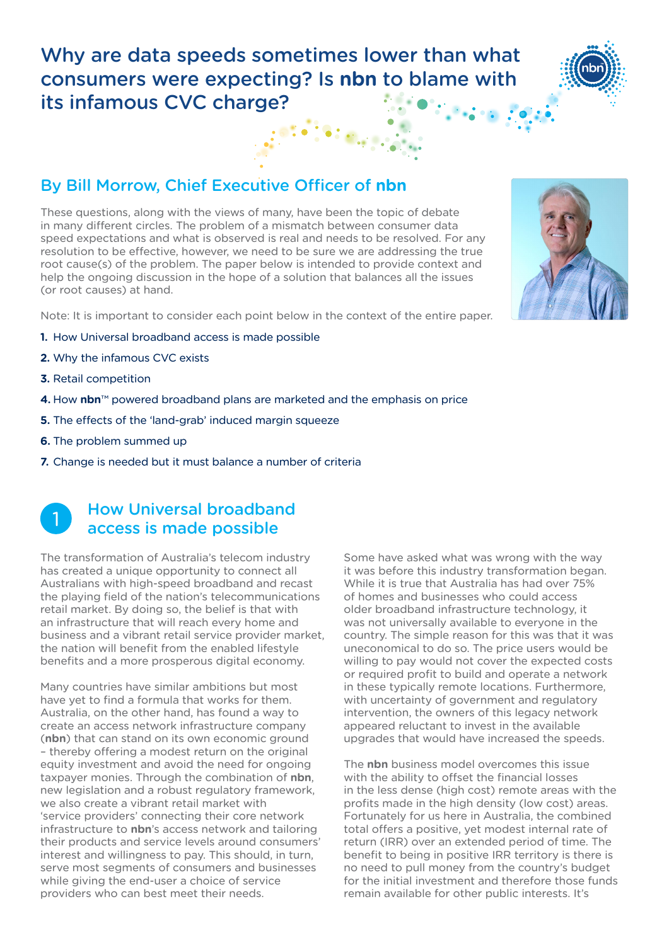# Why are data speeds sometimes lower than what consumers were expecting? Is **nbn** to blame with its infamous CVC charge?

## By Bill Morrow, Chief Executive Officer of **nbn**

These questions, along with the views of many, have been the topic of debate in many different circles. The problem of a mismatch between consumer data speed expectations and what is observed is real and needs to be resolved. For any resolution to be effective, however, we need to be sure we are addressing the true root cause(s) of the problem. The paper below is intended to provide context and help the ongoing discussion in the hope of a solution that balances all the issues (or root causes) at hand.

Note: It is important to consider each point below in the context of the entire paper.

- **1.** How Universal broadband access is made possible
- **2.** [Why the infamous CVC exists](#page-1-0)
- **3.** [Retail competition](#page-3-0)
- **4.** How **nbn**™ powered broadband plans are [marketed and the emphasis on price](#page-4-0)
- **5.** [The effects of the 'land-grab' induced margin squeeze](#page-5-0)
- **6.** [The problem summed up](#page-6-0)
- **7.** [Change is needed but it must balance a number of criteria](#page-6-0)

## How Universal broadband access is made possible 1

The transformation of Australia's telecom industry has created a unique opportunity to connect all Australians with high-speed broadband and recast the playing field of the nation's telecommunications retail market. By doing so, the belief is that with an infrastructure that will reach every home and business and a vibrant retail service provider market, the nation will benefit from the enabled lifestyle benefits and a more prosperous digital economy.

Many countries have similar ambitions but most have yet to find a formula that works for them. Australia, on the other hand, has found a way to create an access network infrastructure company (**nbn**) that can stand on its own economic ground – thereby offering a modest return on the original equity investment and avoid the need for ongoing taxpayer monies. Through the combination of **nbn**, new legislation and a robust regulatory framework, we also create a vibrant retail market with 'service providers' connecting their core network infrastructure to **nbn**'s access network and tailoring their products and service levels around consumers' interest and willingness to pay. This should, in turn, serve most segments of consumers and businesses while giving the end-user a choice of service providers who can best meet their needs.

Some have asked what was wrong with the way it was before this industry transformation began. While it is true that Australia has had over 75% of homes and businesses who could access older broadband infrastructure technology, it was not universally available to everyone in the country. The simple reason for this was that it was uneconomical to do so. The price users would be willing to pay would not cover the expected costs or required profit to build and operate a network in these typically remote locations. Furthermore, with uncertainty of government and regulatory intervention, the owners of this legacy network appeared reluctant to invest in the available upgrades that would have increased the speeds.

The **nbn** business model overcomes this issue with the ability to offset the financial losses in the less dense (high cost) remote areas with the profits made in the high density (low cost) areas. Fortunately for us here in Australia, the combined total offers a positive, yet modest internal rate of return (IRR) over an extended period of time. The benefit to being in positive IRR territory is there is no need to pull money from the country's budget for the initial investment and therefore those funds remain available for other public interests. It's



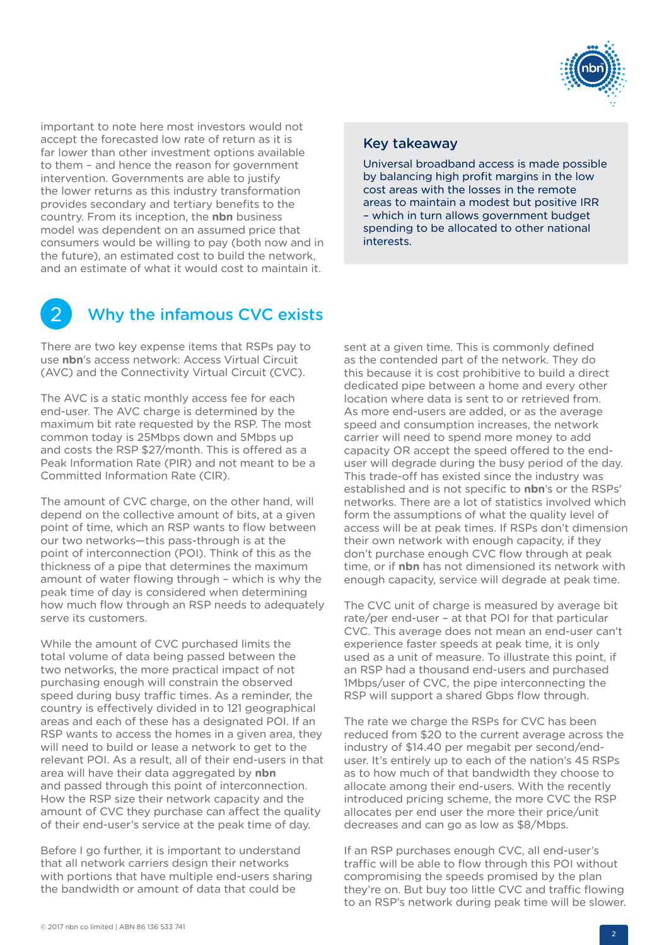

<span id="page-1-0"></span>important to note here most investors would not accept the forecasted low rate of return as it is far lower than other investment options available to them – and hence the reason for government intervention. Governments are able to justify the lower returns as this industry transformation provides secondary and tertiary benefits to the country. From its inception, the **nbn** business model was dependent on an assumed price that consumers would be willing to pay (both now and in the future), an estimated cost to build the network, and an estimate of what it would cost to maintain it.

#### Key takeaway

Universal broadband access is made possible by balancing high profit margins in the low cost areas with the losses in the remote areas to maintain a modest but positive IRR – which in turn allows government budget spending to be allocated to other national interests.



### Why the infamous CVC exists

There are two key expense items that RSPs pay to use **nbn**'s access network: Access Virtual Circuit (AVC) and the Connectivity Virtual Circuit (CVC).

The AVC is a static monthly access fee for each end-user. The AVC charge is determined by the maximum bit rate requested by the RSP. The most common today is 25Mbps down and 5Mbps up and costs the RSP \$27/month. This is offered as a Peak Information Rate (PIR) and not meant to be a Committed Information Rate (CIR).

The amount of CVC charge, on the other hand, will depend on the collective amount of bits, at a given point of time, which an RSP wants to flow between our two networks—this pass-through is at the point of interconnection (POI). Think of this as the thickness of a pipe that determines the maximum amount of water flowing through – which is why the peak time of day is considered when determining how much flow through an RSP needs to adequately serve its customers.

While the amount of CVC purchased limits the total volume of data being passed between the two networks, the more practical impact of not purchasing enough will constrain the observed speed during busy traffic times. As a reminder, the country is effectively divided in to 121 geographical areas and each of these has a designated POI. If an RSP wants to access the homes in a given area, they will need to build or lease a network to get to the relevant POI. As a result, all of their end-users in that area will have their data aggregated by **nbn** and passed through this point of interconnection. How the RSP size their network capacity and the amount of CVC they purchase can affect the quality of their end-user's service at the peak time of day.

Before I go further, it is important to understand that all network carriers design their networks with portions that have multiple end-users sharing the bandwidth or amount of data that could be

sent at a given time. This is commonly defined as the contended part of the network. They do this because it is cost prohibitive to build a direct dedicated pipe between a home and every other location where data is sent to or retrieved from. As more end-users are added, or as the average speed and consumption increases, the network carrier will need to spend more money to add capacity OR accept the speed offered to the enduser will degrade during the busy period of the day. This trade-off has existed since the industry was established and is not specific to **nbn**'s or the RSPs' networks. There are a lot of statistics involved which form the assumptions of what the quality level of access will be at peak times. If RSPs don't dimension their own network with enough capacity, if they don't purchase enough CVC flow through at peak time, or if **nbn** has not dimensioned its network with enough capacity, service will degrade at peak time.

The CVC unit of charge is measured by average bit rate/per end-user – at that POI for that particular CVC. This average does not mean an end-user can't experience faster speeds at peak time, it is only used as a unit of measure. To illustrate this point, if an RSP had a thousand end-users and purchased 1Mbps/user of CVC, the pipe interconnecting the RSP will support a shared Gbps flow through.

The rate we charge the RSPs for CVC has been reduced from \$20 to the current average across the industry of \$14.40 per megabit per second/enduser. It's entirely up to each of the nation's 45 RSPs as to how much of that bandwidth they choose to allocate among their end-users. With the recently introduced pricing scheme, the more CVC the RSP allocates per end user the more their price/unit decreases and can go as low as \$8/Mbps.

If an RSP purchases enough CVC, all end-user's traffic will be able to flow through this POI without compromising the speeds promised by the plan they're on. But buy too little CVC and traffic flowing to an RSP's network during peak time will be slower.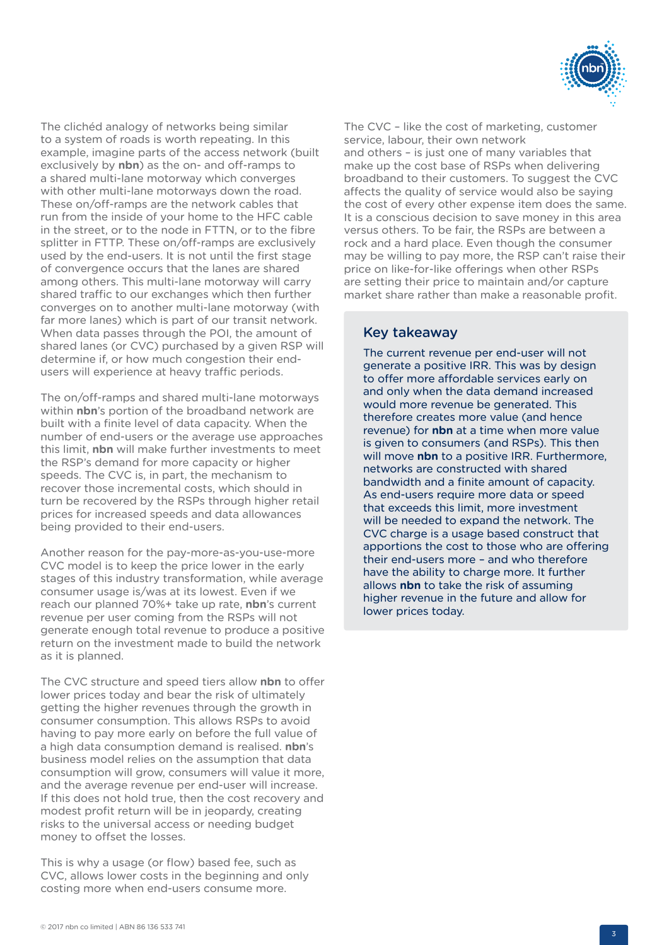

The clichéd analogy of networks being similar to a system of roads is worth repeating. In this example, imagine parts of the access network (built exclusively by **nbn**) as the on- and off-ramps to a shared multi-lane motorway which converges with other multi-lane motorways down the road. These on/off-ramps are the network cables that run from the inside of your home to the HFC cable in the street, or to the node in FTTN, or to the fibre splitter in FTTP. These on/off-ramps are exclusively used by the end-users. It is not until the first stage of convergence occurs that the lanes are shared among others. This multi-lane motorway will carry shared traffic to our exchanges which then further converges on to another multi-lane motorway (with far more lanes) which is part of our transit network. When data passes through the POI, the amount of shared lanes (or CVC) purchased by a given RSP will determine if, or how much congestion their endusers will experience at heavy traffic periods.

The on/off-ramps and shared multi-lane motorways within **nbn**'s portion of the broadband network are built with a finite level of data capacity. When the number of end-users or the average use approaches this limit, **nbn** will make further investments to meet the RSP's demand for more capacity or higher speeds. The CVC is, in part, the mechanism to recover those incremental costs, which should in turn be recovered by the RSPs through higher retail prices for increased speeds and data allowances being provided to their end-users.

Another reason for the pay-more-as-you-use-more CVC model is to keep the price lower in the early stages of this industry transformation, while average consumer usage is/was at its lowest. Even if we reach our planned 70%+ take up rate, **nbn**'s current revenue per user coming from the RSPs will not generate enough total revenue to produce a positive return on the investment made to build the network as it is planned.

The CVC structure and speed tiers allow **nbn** to offer lower prices today and bear the risk of ultimately getting the higher revenues through the growth in consumer consumption. This allows RSPs to avoid having to pay more early on before the full value of a high data consumption demand is realised. **nbn**'s business model relies on the assumption that data consumption will grow, consumers will value it more, and the average revenue per end-user will increase. If this does not hold true, then the cost recovery and modest profit return will be in jeopardy, creating risks to the universal access or needing budget money to offset the losses.

This is why a usage (or flow) based fee, such as CVC, allows lower costs in the beginning and only costing more when end-users consume more.

The CVC – like the cost of marketing, customer service, labour, their own network and others – is just one of many variables that make up the cost base of RSPs when delivering broadband to their customers. To suggest the CVC affects the quality of service would also be saying the cost of every other expense item does the same. It is a conscious decision to save money in this area versus others. To be fair, the RSPs are between a rock and a hard place. Even though the consumer may be willing to pay more, the RSP can't raise their price on like-for-like offerings when other RSPs are setting their price to maintain and/or capture market share rather than make a reasonable profit.

### Key takeaway

The current revenue per end-user will not generate a positive IRR. This was by design to offer more affordable services early on and only when the data demand increased would more revenue be generated. This therefore creates more value (and hence revenue) for **nbn** at a time when more value is given to consumers (and RSPs). This then will move **nbn** to a positive IRR. Furthermore, networks are constructed with shared bandwidth and a finite amount of capacity. As end-users require more data or speed that exceeds this limit, more investment will be needed to expand the network. The CVC charge is a usage based construct that apportions the cost to those who are offering their end-users more – and who therefore have the ability to charge more. It further allows **nbn** to take the risk of assuming higher revenue in the future and allow for lower prices today.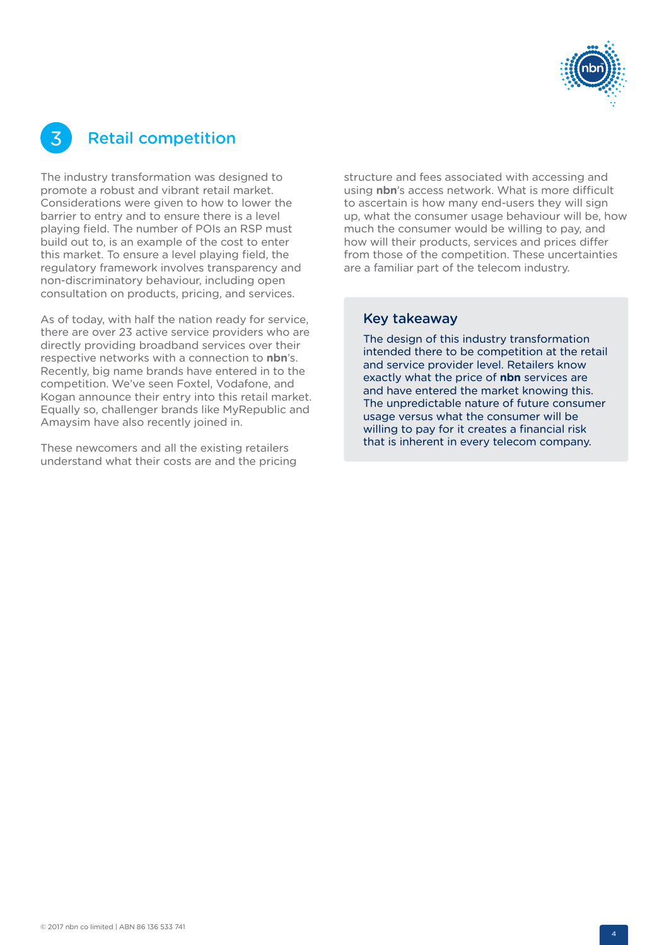

# <span id="page-3-0"></span>3 Retail competition

The industry transformation was designed to promote a robust and vibrant retail market. Considerations were given to how to lower the barrier to entry and to ensure there is a level playing field. The number of POIs an RSP must build out to, is an example of the cost to enter this market. To ensure a level playing field, the regulatory framework involves transparency and non-discriminatory behaviour, including open consultation on products, pricing, and services.

As of today, with half the nation ready for service, there are over 23 active service providers who are directly providing broadband services over their respective networks with a connection to **nbn**'s. Recently, big name brands have entered in to the competition. We've seen Foxtel, Vodafone, and Kogan announce their entry into this retail market. Equally so, challenger brands like MyRepublic and Amaysim have also recently joined in.

These newcomers and all the existing retailers understand what their costs are and the pricing structure and fees associated with accessing and using **nbn**'s access network. What is more difficult to ascertain is how many end-users they will sign up, what the consumer usage behaviour will be, how much the consumer would be willing to pay, and how will their products, services and prices differ from those of the competition. These uncertainties are a familiar part of the telecom industry.

#### Key takeaway

The design of this industry transformation intended there to be competition at the retail and service provider level. Retailers know exactly what the price of **nbn** services are and have entered the market knowing this. The unpredictable nature of future consumer usage versus what the consumer will be willing to pay for it creates a financial risk that is inherent in every telecom company.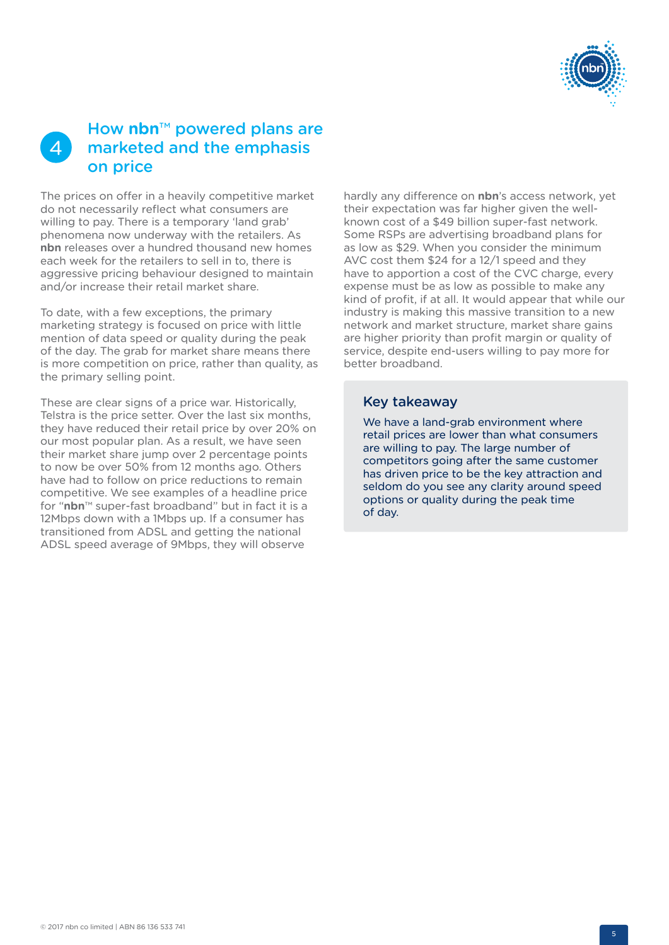

#### <span id="page-4-0"></span>How **nbn**™ powered plans are marketed and the emphasis on price  $\Delta$

The prices on offer in a heavily competitive market do not necessarily reflect what consumers are willing to pay. There is a temporary 'land grab' phenomena now underway with the retailers. As **nbn** releases over a hundred thousand new homes each week for the retailers to sell in to, there is aggressive pricing behaviour designed to maintain and/or increase their retail market share.

To date, with a few exceptions, the primary marketing strategy is focused on price with little mention of data speed or quality during the peak of the day. The grab for market share means there is more competition on price, rather than quality, as the primary selling point.

These are clear signs of a price war. Historically, Telstra is the price setter. Over the last six months, they have reduced their retail price by over 20% on our most popular plan. As a result, we have seen their market share jump over 2 percentage points to now be over 50% from 12 months ago. Others have had to follow on price reductions to remain competitive. We see examples of a headline price for "**nbn**™ super-fast broadband" but in fact it is a 12Mbps down with a 1Mbps up. If a consumer has transitioned from ADSL and getting the national ADSL speed average of 9Mbps, they will observe

hardly any difference on **nbn**'s access network, yet their expectation was far higher given the wellknown cost of a \$49 billion super-fast network. Some RSPs are advertising broadband plans for as low as \$29. When you consider the minimum AVC cost them \$24 for a 12/1 speed and they have to apportion a cost of the CVC charge, every expense must be as low as possible to make any kind of profit, if at all. It would appear that while our industry is making this massive transition to a new network and market structure, market share gains are higher priority than profit margin or quality of service, despite end-users willing to pay more for better broadband.

#### Key takeaway

We have a land-grab environment where retail prices are lower than what consumers are willing to pay. The large number of competitors going after the same customer has driven price to be the key attraction and seldom do you see any clarity around speed options or quality during the peak time of day.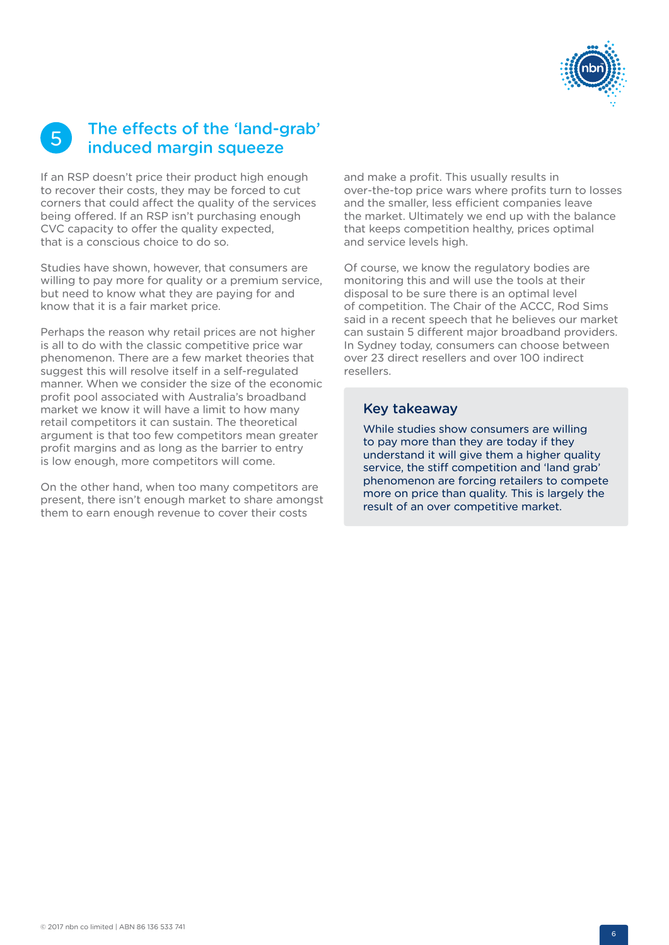

## <span id="page-5-0"></span>The effects of the 'land-grab' **b** The effects of the 'land-g<br>induced margin squeeze

If an RSP doesn't price their product high enough to recover their costs, they may be forced to cut corners that could affect the quality of the services being offered. If an RSP isn't purchasing enough CVC capacity to offer the quality expected, that is a conscious choice to do so.

Studies have shown, however, that consumers are willing to pay more for quality or a premium service, but need to know what they are paying for and know that it is a fair market price.

Perhaps the reason why retail prices are not higher is all to do with the classic competitive price war phenomenon. There are a few market theories that suggest this will resolve itself in a self-regulated manner. When we consider the size of the economic profit pool associated with Australia's broadband market we know it will have a limit to how many retail competitors it can sustain. The theoretical argument is that too few competitors mean greater profit margins and as long as the barrier to entry is low enough, more competitors will come.

On the other hand, when too many competitors are present, there isn't enough market to share amongst them to earn enough revenue to cover their costs

and make a profit. This usually results in over-the-top price wars where profits turn to losses and the smaller, less efficient companies leave the market. Ultimately we end up with the balance that keeps competition healthy, prices optimal and service levels high.

Of course, we know the regulatory bodies are monitoring this and will use the tools at their disposal to be sure there is an optimal level of competition. The Chair of the ACCC, Rod Sims said in a recent speech that he believes our market can sustain 5 different major broadband providers. In Sydney today, consumers can choose between over 23 direct resellers and over 100 indirect resellers.

#### Key takeaway

While studies show consumers are willing to pay more than they are today if they understand it will give them a higher quality service, the stiff competition and 'land grab' phenomenon are forcing retailers to compete more on price than quality. This is largely the result of an over competitive market.